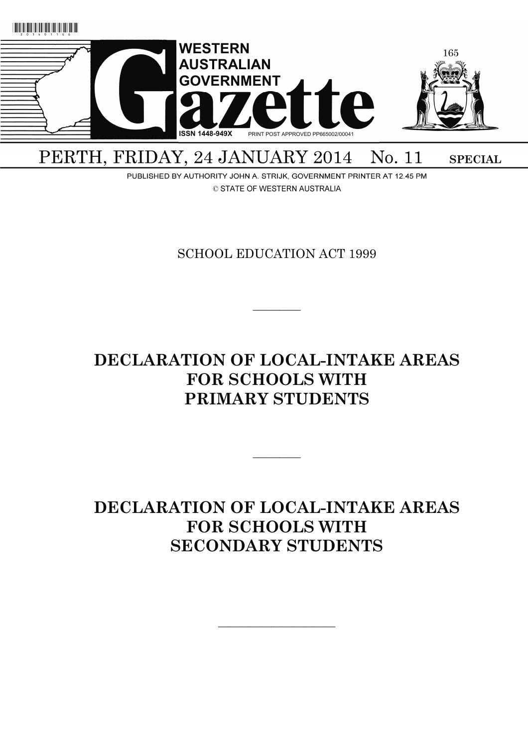

# PERTH, FRIDAY, 24 JANUARY 2014 No. 11 **SPECIAL**

PUBLISHED BY AUTHORITY JOHN A. STRIJK, GOVERNMENT PRINTER AT 12.45 PM © STATE OF WESTERN AUSTRALIA

SCHOOL EDUCATION ACT 1999

 $\overline{\phantom{a}}$   $\overline{\phantom{a}}$ 

# **DECLARATION OF LOCAL-INTAKE AREAS FOR SCHOOLS WITH PRIMARY STUDENTS**

 $\overline{\phantom{a}}$ 

# **DECLARATION OF LOCAL-INTAKE AREAS FOR SCHOOLS WITH SECONDARY STUDENTS**

———————————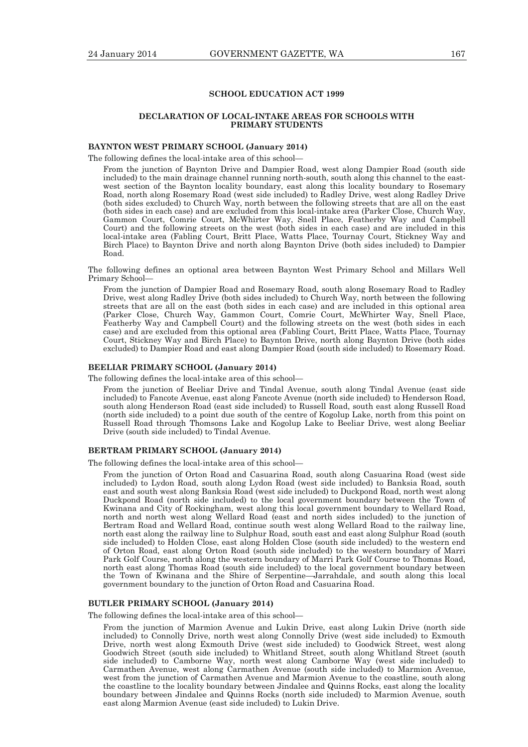## **SCHOOL EDUCATION ACT 1999**

### **DECLARATION OF LOCAL-INTAKE AREAS FOR SCHOOLS WITH PRIMARY STUDENTS**

## **BAYNTON WEST PRIMARY SCHOOL (January 2014)**

The following defines the local-intake area of this school—

From the junction of Baynton Drive and Dampier Road, west along Dampier Road (south side included) to the main drainage channel running north-south, south along this channel to the eastwest section of the Baynton locality boundary, east along this locality boundary to Rosemary Road, north along Rosemary Road (west side included) to Radley Drive, west along Radley Drive (both sides excluded) to Church Way, north between the following streets that are all on the east (both sides in each case) and are excluded from this local-intake area (Parker Close, Church Way, Gammon Court, Comrie Court, McWhirter Way, Snell Place, Featherby Way and Campbell Court) and the following streets on the west (both sides in each case) and are included in this local-intake area (Fabling Court, Britt Place, Watts Place, Tournay Court, Stickney Way and Birch Place) to Baynton Drive and north along Baynton Drive (both sides included) to Dampier Road.

The following defines an optional area between Baynton West Primary School and Millars Well Primary School—

From the junction of Dampier Road and Rosemary Road, south along Rosemary Road to Radley Drive, west along Radley Drive (both sides included) to Church Way, north between the following streets that are all on the east (both sides in each case) and are included in this optional area (Parker Close, Church Way, Gammon Court, Comrie Court, McWhirter Way, Snell Place, Featherby Way and Campbell Court) and the following streets on the west (both sides in each case) and are excluded from this optional area (Fabling Court, Britt Place, Watts Place, Tournay Court, Stickney Way and Birch Place) to Baynton Drive, north along Baynton Drive (both sides excluded) to Dampier Road and east along Dampier Road (south side included) to Rosemary Road.

#### **BEELIAR PRIMARY SCHOOL (January 2014)**

The following defines the local-intake area of this school—

From the junction of Beeliar Drive and Tindal Avenue, south along Tindal Avenue (east side included) to Fancote Avenue, east along Fancote Avenue (north side included) to Henderson Road, south along Henderson Road (east side included) to Russell Road, south east along Russell Road (north side included) to a point due south of the centre of Kogolup Lake, north from this point on Russell Road through Thomsons Lake and Kogolup Lake to Beeliar Drive, west along Beeliar Drive (south side included) to Tindal Avenue.

## **BERTRAM PRIMARY SCHOOL (January 2014)**

The following defines the local-intake area of this school—

From the junction of Orton Road and Casuarina Road, south along Casuarina Road (west side included) to Lydon Road, south along Lydon Road (west side included) to Banksia Road, south east and south west along Banksia Road (west side included) to Duckpond Road, north west along Duckpond Road (north side included) to the local government boundary between the Town of Kwinana and City of Rockingham, west along this local government boundary to Wellard Road, north and north west along Wellard Road (east and north sides included) to the junction of Bertram Road and Wellard Road, continue south west along Wellard Road to the railway line, north east along the railway line to Sulphur Road, south east and east along Sulphur Road (south side included) to Holden Close, east along Holden Close (south side included) to the western end of Orton Road, east along Orton Road (south side included) to the western boundary of Marri Park Golf Course, north along the western boundary of Marri Park Golf Course to Thomas Road, north east along Thomas Road (south side included) to the local government boundary between the Town of Kwinana and the Shire of Serpentine—Jarrahdale, and south along this local government boundary to the junction of Orton Road and Casuarina Road.

# **BUTLER PRIMARY SCHOOL (January 2014)**

The following defines the local-intake area of this school—

From the junction of Marmion Avenue and Lukin Drive, east along Lukin Drive (north side included) to Connolly Drive, north west along Connolly Drive (west side included) to Exmouth Drive, north west along Exmouth Drive (west side included) to Goodwick Street, west along Goodwich Street (south side included) to Whitland Street, south along Whitland Street (south side included) to Camborne Way, north west along Camborne Way (west side included) to Carmathen Avenue, west along Carmathen Avenue (south side included) to Marmion Avenue, west from the junction of Carmathen Avenue and Marmion Avenue to the coastline, south along the coastline to the locality boundary between Jindalee and Quinns Rocks, east along the locality boundary between Jindalee and Quinns Rocks (north side included) to Marmion Avenue, south east along Marmion Avenue (east side included) to Lukin Drive.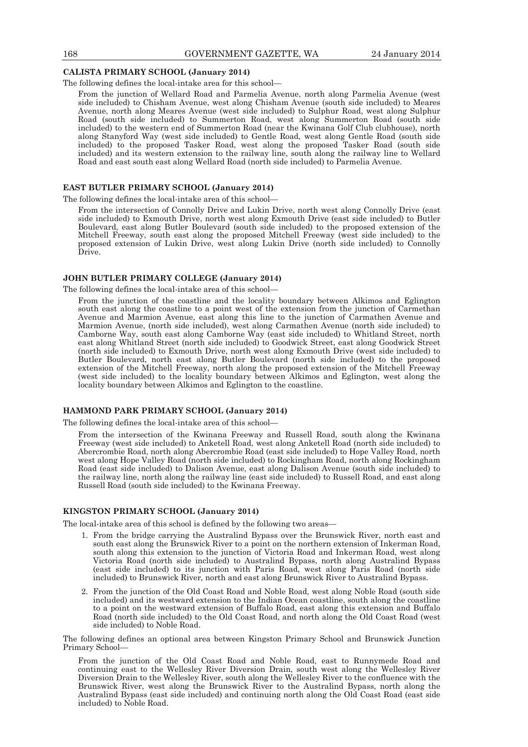#### **CALISTA PRIMARY SCHOOL (January 2014)**

The following defines the local-intake area for this school—

From the junction of Wellard Road and Parmelia Avenue, north along Parmelia Avenue (west side included) to Chisham Avenue, west along Chisham Avenue (south side included) to Meares Avenue, north along Meares Avenue (west side included) to Sulphur Road, west along Sulphur Road (south side included) to Summerton Road, west along Summerton Road (south side included) to the western end of Summerton Road (near the Kwinana Golf Club clubhouse), north along Stanyford Way (west side included) to Gentle Road, west along Gentle Road (south side included) to the proposed Tasker Road, west along the proposed Tasker Road (south side included) and its western extension to the railway line, south along the railway line to Wellard Road and east south east along Wellard Road (north side included) to Parmelia Avenue.

## **EAST BUTLER PRIMARY SCHOOL (January 2014)**

The following defines the local-intake area of this school—

From the intersection of Connolly Drive and Lukin Drive, north west along Connolly Drive (east side included) to Exmouth Drive, north west along Exmouth Drive (east side included) to Butler Boulevard, east along Butler Boulevard (south side included) to the proposed extension of the Mitchell Freeway, south east along the proposed Mitchell Freeway (west side included) to the proposed extension of Lukin Drive, west along Lukin Drive (north side included) to Connolly Drive.

## **JOHN BUTLER PRIMARY COLLEGE (January 2014)**

The following defines the local-intake area of this school—

From the junction of the coastline and the locality boundary between Alkimos and Eglington south east along the coastline to a point west of the extension from the junction of Carmethan Avenue and Marmion Avenue, east along this line to the junction of Carmathen Avenue and Marmion Avenue, (north side included), west along Carmathen Avenue (north side included) to Camborne Way, south east along Camborne Way (east side included) to Whitland Street, north east along Whitland Street (north side included) to Goodwick Street, east along Goodwick Street (north side included) to Exmouth Drive, north west along Exmouth Drive (west side included) to Butler Boulevard, north east along Butler Boulevard (north side included) to the proposed extension of the Mitchell Freeway, north along the proposed extension of the Mitchell Freeway (west side included) to the locality boundary between Alkimos and Eglington, west along the locality boundary between Alkimos and Eglington to the coastline.

## **HAMMOND PARK PRIMARY SCHOOL (January 2014)**

The following defines the local-intake area of this school—

From the intersection of the Kwinana Freeway and Russell Road, south along the Kwinana Freeway (west side included) to Anketell Road, west along Anketell Road (north side included) to Abercrombie Road, north along Abercrombie Road (east side included) to Hope Valley Road, north west along Hope Valley Road (north side included) to Rockingham Road, north along Rockingham Road (east side included) to Dalison Avenue, east along Dalison Avenue (south side included) to the railway line, north along the railway line (east side included) to Russell Road, and east along Russell Road (south side included) to the Kwinana Freeway.

## **KINGSTON PRIMARY SCHOOL (January 2014)**

The local-intake area of this school is defined by the following two areas—

- 1. From the bridge carrying the Australind Bypass over the Brunswick River, north east and south east along the Brunswick River to a point on the northern extension of Inkerman Road, south along this extension to the junction of Victoria Road and Inkerman Road, west along Victoria Road (north side included) to Australind Bypass, north along Australind Bypass (east side included) to its junction with Paris Road, west along Paris Road (north side included) to Brunswick River, north and east along Brunswick River to Australind Bypass.
- 2. From the junction of the Old Coast Road and Noble Road, west along Noble Road (south side included) and its westward extension to the Indian Ocean coastline, south along the coastline to a point on the westward extension of Buffalo Road, east along this extension and Buffalo Road (north side included) to the Old Coast Road, and north along the Old Coast Road (west side included) to Noble Road.

The following defines an optional area between Kingston Primary School and Brunswick Junction Primary School—

From the junction of the Old Coast Road and Noble Road, east to Runnymede Road and continuing east to the Wellesley River Diversion Drain, south west along the Wellesley River Diversion Drain to the Wellesley River, south along the Wellesley River to the confluence with the Brunswick River, west along the Brunswick River to the Australind Bypass, north along the Australind Bypass (east side included) and continuing north along the Old Coast Road (east side included) to Noble Road.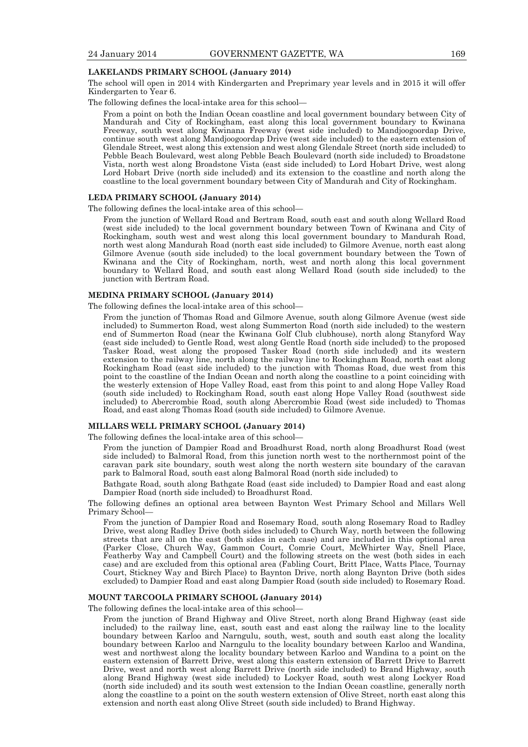## **LAKELANDS PRIMARY SCHOOL (January 2014)**

The school will open in 2014 with Kindergarten and Preprimary year levels and in 2015 it will offer Kindergarten to Year 6.

The following defines the local-intake area for this school—

From a point on both the Indian Ocean coastline and local government boundary between City of Mandurah and City of Rockingham, east along this local government boundary to Kwinana Freeway, south west along Kwinana Freeway (west side included) to Mandjoogoordap Drive, continue south west along Mandjoogoordap Drive (west side included) to the eastern extension of Glendale Street, west along this extension and west along Glendale Street (north side included) to Pebble Beach Boulevard, west along Pebble Beach Boulevard (north side included) to Broadstone Vista, north west along Broadstone Vista (east side included) to Lord Hobart Drive, west along Lord Hobart Drive (north side included) and its extension to the coastline and north along the coastline to the local government boundary between City of Mandurah and City of Rockingham.

## **LEDA PRIMARY SCHOOL (January 2014)**

The following defines the local-intake area of this school—

From the junction of Wellard Road and Bertram Road, south east and south along Wellard Road (west side included) to the local government boundary between Town of Kwinana and City of Rockingham, south west and west along this local government boundary to Mandurah Road, north west along Mandurah Road (north east side included) to Gilmore Avenue, north east along Gilmore Avenue (south side included) to the local government boundary between the Town of Kwinana and the City of Rockingham, north, west and north along this local government boundary to Wellard Road, and south east along Wellard Road (south side included) to the junction with Bertram Road.

## **MEDINA PRIMARY SCHOOL (January 2014)**

The following defines the local-intake area of this school—

From the junction of Thomas Road and Gilmore Avenue, south along Gilmore Avenue (west side included) to Summerton Road, west along Summerton Road (north side included) to the western end of Summerton Road (near the Kwinana Golf Club clubhouse), north along Stanyford Way (east side included) to Gentle Road, west along Gentle Road (north side included) to the proposed Tasker Road, west along the proposed Tasker Road (north side included) and its western extension to the railway line, north along the railway line to Rockingham Road, north east along Rockingham Road (east side included) to the junction with Thomas Road, due west from this point to the coastline of the Indian Ocean and north along the coastline to a point coinciding with the westerly extension of Hope Valley Road, east from this point to and along Hope Valley Road (south side included) to Rockingham Road, south east along Hope Valley Road (southwest side included) to Abercrombie Road, south along Abercrombie Road (west side included) to Thomas Road, and east along Thomas Road (south side included) to Gilmore Avenue.

# **MILLARS WELL PRIMARY SCHOOL (January 2014)**

The following defines the local-intake area of this school—

From the junction of Dampier Road and Broadhurst Road, north along Broadhurst Road (west side included) to Balmoral Road, from this junction north west to the northernmost point of the caravan park site boundary, south west along the north western site boundary of the caravan park to Balmoral Road, south east along Balmoral Road (north side included) to

Bathgate Road, south along Bathgate Road (east side included) to Dampier Road and east along Dampier Road (north side included) to Broadhurst Road.

The following defines an optional area between Baynton West Primary School and Millars Well Primary School—

From the junction of Dampier Road and Rosemary Road, south along Rosemary Road to Radley Drive, west along Radley Drive (both sides included) to Church Way, north between the following streets that are all on the east (both sides in each case) and are included in this optional area (Parker Close, Church Way, Gammon Court, Comrie Court, McWhirter Way, Snell Place, Featherby Way and Campbell Court) and the following streets on the west (both sides in each case) and are excluded from this optional area (Fabling Court, Britt Place, Watts Place, Tournay Court, Stickney Way and Birch Place) to Baynton Drive, north along Baynton Drive (both sides excluded) to Dampier Road and east along Dampier Road (south side included) to Rosemary Road.

# **MOUNT TARCOOLA PRIMARY SCHOOL (January 2014)**

The following defines the local-intake area of this school—

From the junction of Brand Highway and Olive Street, north along Brand Highway (east side included) to the railway line, east, south east and east along the railway line to the locality boundary between Karloo and Narngulu, south, west, south and south east along the locality boundary between Karloo and Narngulu to the locality boundary between Karloo and Wandina, west and northwest along the locality boundary between Karloo and Wandina to a point on the eastern extension of Barrett Drive, west along this eastern extension of Barrett Drive to Barrett Drive, west and north west along Barrett Drive (north side included) to Brand Highway, south along Brand Highway (west side included) to Lockyer Road, south west along Lockyer Road (north side included) and its south west extension to the Indian Ocean coastline, generally north along the coastline to a point on the south western extension of Olive Street, north east along this extension and north east along Olive Street (south side included) to Brand Highway.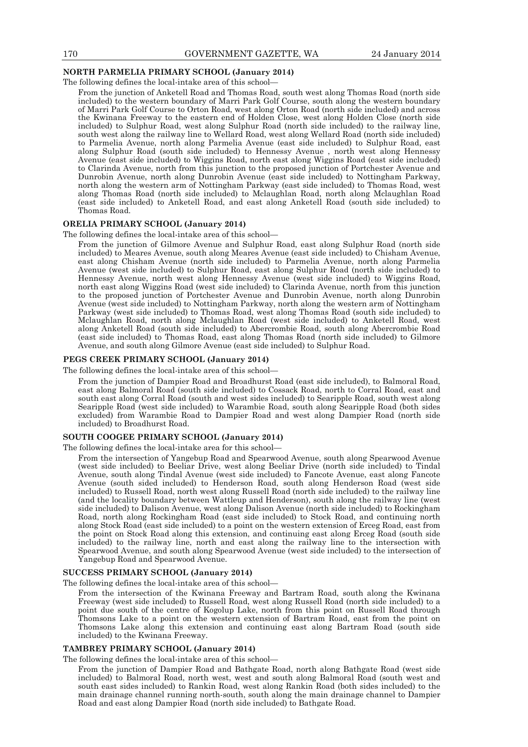## **NORTH PARMELIA PRIMARY SCHOOL (January 2014)**

The following defines the local-intake area of this school—

From the junction of Anketell Road and Thomas Road, south west along Thomas Road (north side included) to the western boundary of Marri Park Golf Course, south along the western boundary of Marri Park Golf Course to Orton Road, west along Orton Road (north side included) and across the Kwinana Freeway to the eastern end of Holden Close, west along Holden Close (north side included) to Sulphur Road, west along Sulphur Road (north side included) to the railway line, south west along the railway line to Wellard Road, west along Wellard Road (north side included) to Parmelia Avenue, north along Parmelia Avenue (east side included) to Sulphur Road, east along Sulphur Road (south side included) to Hennessy Avenue , north west along Hennessy Avenue (east side included) to Wiggins Road, north east along Wiggins Road (east side included) to Clarinda Avenue, north from this junction to the proposed junction of Portchester Avenue and Dunrobin Avenue, north along Dunrobin Avenue (east side included) to Nottingham Parkway, north along the western arm of Nottingham Parkway (east side included) to Thomas Road, west along Thomas Road (north side included) to Mclaughlan Road, north along Mclaughlan Road (east side included) to Anketell Road, and east along Anketell Road (south side included) to Thomas Road.

## **ORELIA PRIMARY SCHOOL (January 2014)**

The following defines the local-intake area of this school—

From the junction of Gilmore Avenue and Sulphur Road, east along Sulphur Road (north side included) to Meares Avenue, south along Meares Avenue (east side included) to Chisham Avenue, east along Chisham Avenue (north side included) to Parmelia Avenue, north along Parmelia Avenue (west side included) to Sulphur Road, east along Sulphur Road (north side included) to Hennessy Avenue, north west along Hennessy Avenue (west side included) to Wiggins Road, north east along Wiggins Road (west side included) to Clarinda Avenue, north from this junction to the proposed junction of Portchester Avenue and Dunrobin Avenue, north along Dunrobin Avenue (west side included) to Nottingham Parkway, north along the western arm of Nottingham Parkway (west side included) to Thomas Road, west along Thomas Road (south side included) to Mclaughlan Road, north along Mclaughlan Road (west side included) to Anketell Road, west along Anketell Road (south side included) to Abercrombie Road, south along Abercrombie Road (east side included) to Thomas Road, east along Thomas Road (north side included) to Gilmore Avenue, and south along Gilmore Avenue (east side included) to Sulphur Road.

### **PEGS CREEK PRIMARY SCHOOL (January 2014)**

The following defines the local-intake area of this school—

From the junction of Dampier Road and Broadhurst Road (east side included), to Balmoral Road, east along Balmoral Road (south side included) to Cossack Road, north to Corral Road, east and south east along Corral Road (south and west sides included) to Searipple Road, south west along Searipple Road (west side included) to Warambie Road, south along Searipple Road (both sides excluded) from Warambie Road to Dampier Road and west along Dampier Road (north side included) to Broadhurst Road.

#### **SOUTH COOGEE PRIMARY SCHOOL (January 2014)**

The following defines the local-intake area for this school—

From the intersection of Yangebup Road and Spearwood Avenue, south along Spearwood Avenue (west side included) to Beeliar Drive, west along Beeliar Drive (north side included) to Tindal Avenue, south along Tindal Avenue (west side included) to Fancote Avenue, east along Fancote Avenue (south sided included) to Henderson Road, south along Henderson Road (west side included) to Russell Road, north west along Russell Road (north side included) to the railway line (and the locality boundary between Wattleup and Henderson), south along the railway line (west side included) to Dalison Avenue, west along Dalison Avenue (north side included) to Rockingham Road, north along Rockingham Road (east side included) to Stock Road, and continuing north along Stock Road (east side included) to a point on the western extension of Erceg Road, east from the point on Stock Road along this extension, and continuing east along Erceg Road (south side included) to the railway line, north and east along the railway line to the intersection with Spearwood Avenue, and south along Spearwood Avenue (west side included) to the intersection of Yangebup Road and Spearwood Avenue.

## **SUCCESS PRIMARY SCHOOL (January 2014)**

The following defines the local-intake area of this school—

From the intersection of the Kwinana Freeway and Bartram Road, south along the Kwinana Freeway (west side included) to Russell Road, west along Russell Road (north side included) to a point due south of the centre of Kogolup Lake, north from this point on Russell Road through Thomsons Lake to a point on the western extension of Bartram Road, east from the point on Thomsons Lake along this extension and continuing east along Bartram Road (south side included) to the Kwinana Freeway.

#### **TAMBREY PRIMARY SCHOOL (January 2014)**

The following defines the local-intake area of this school—

From the junction of Dampier Road and Bathgate Road, north along Bathgate Road (west side included) to Balmoral Road, north west, west and south along Balmoral Road (south west and south east sides included) to Rankin Road, west along Rankin Road (both sides included) to the main drainage channel running north-south, south along the main drainage channel to Dampier Road and east along Dampier Road (north side included) to Bathgate Road.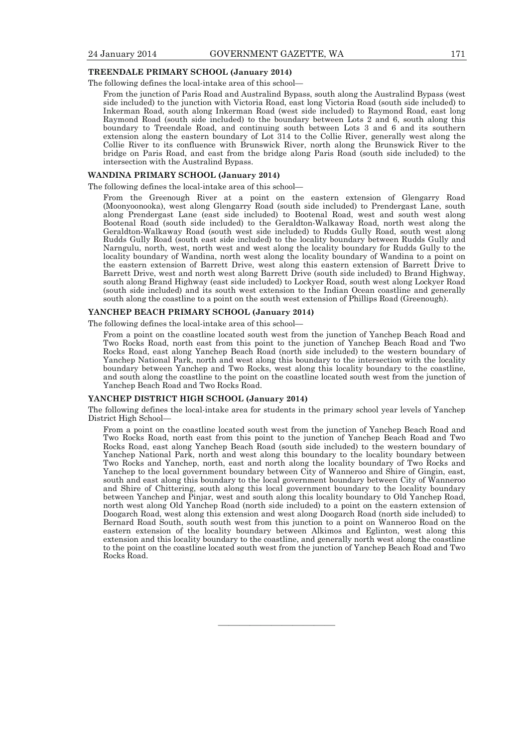## **TREENDALE PRIMARY SCHOOL (January 2014)**

The following defines the local-intake area of this school—

From the junction of Paris Road and Australind Bypass, south along the Australind Bypass (west side included) to the junction with Victoria Road, east long Victoria Road (south side included) to Inkerman Road, south along Inkerman Road (west side included) to Raymond Road, east long Raymond Road (south side included) to the boundary between Lots 2 and 6, south along this boundary to Treendale Road, and continuing south between Lots 3 and 6 and its southern extension along the eastern boundary of Lot 314 to the Collie River, generally west along the Collie River to its confluence with Brunswick River, north along the Brunswick River to the bridge on Paris Road, and east from the bridge along Paris Road (south side included) to the intersection with the Australind Bypass.

# **WANDINA PRIMARY SCHOOL (January 2014)**

#### The following defines the local-intake area of this school—

From the Greenough River at a point on the eastern extension of Glengarry Road (Moonyoonooka), west along Glengarry Road (south side included) to Prendergast Lane, south along Prendergast Lane (east side included) to Bootenal Road, west and south west along Bootenal Road (south side included) to the Geraldton-Walkaway Road, north west along the Geraldton-Walkaway Road (south west side included) to Rudds Gully Road, south west along Rudds Gully Road (south east side included) to the locality boundary between Rudds Gully and Narngulu, north, west, north west and west along the locality boundary for Rudds Gully to the locality boundary of Wandina, north west along the locality boundary of Wandina to a point on the eastern extension of Barrett Drive, west along this eastern extension of Barrett Drive to Barrett Drive, west and north west along Barrett Drive (south side included) to Brand Highway, south along Brand Highway (east side included) to Lockyer Road, south west along Lockyer Road (south side included) and its south west extension to the Indian Ocean coastline and generally south along the coastline to a point on the south west extension of Phillips Road (Greenough).

#### **YANCHEP BEACH PRIMARY SCHOOL (January 2014)**

The following defines the local-intake area of this school—

From a point on the coastline located south west from the junction of Yanchep Beach Road and Two Rocks Road, north east from this point to the junction of Yanchep Beach Road and Two Rocks Road, east along Yanchep Beach Road (north side included) to the western boundary of Yanchep National Park, north and west along this boundary to the intersection with the locality boundary between Yanchep and Two Rocks, west along this locality boundary to the coastline, and south along the coastline to the point on the coastline located south west from the junction of Yanchep Beach Road and Two Rocks Road.

# **YANCHEP DISTRICT HIGH SCHOOL (January 2014)**

The following defines the local-intake area for students in the primary school year levels of Yanchep District High School—

From a point on the coastline located south west from the junction of Yanchep Beach Road and Two Rocks Road, north east from this point to the junction of Yanchep Beach Road and Two Rocks Road, east along Yanchep Beach Road (south side included) to the western boundary of Yanchep National Park, north and west along this boundary to the locality boundary between Two Rocks and Yanchep, north, east and north along the locality boundary of Two Rocks and Yanchep to the local government boundary between City of Wanneroo and Shire of Gingin, east, south and east along this boundary to the local government boundary between City of Wanneroo and Shire of Chittering, south along this local government boundary to the locality boundary between Yanchep and Pinjar, west and south along this locality boundary to Old Yanchep Road, north west along Old Yanchep Road (north side included) to a point on the eastern extension of Doogarch Road, west along this extension and west along Doogarch Road (north side included) to Bernard Road South, south south west from this junction to a point on Wanneroo Road on the eastern extension of the locality boundary between Alkimos and Eglinton, west along this extension and this locality boundary to the coastline, and generally north west along the coastline to the point on the coastline located south west from the junction of Yanchep Beach Road and Two Rocks Road.

———————————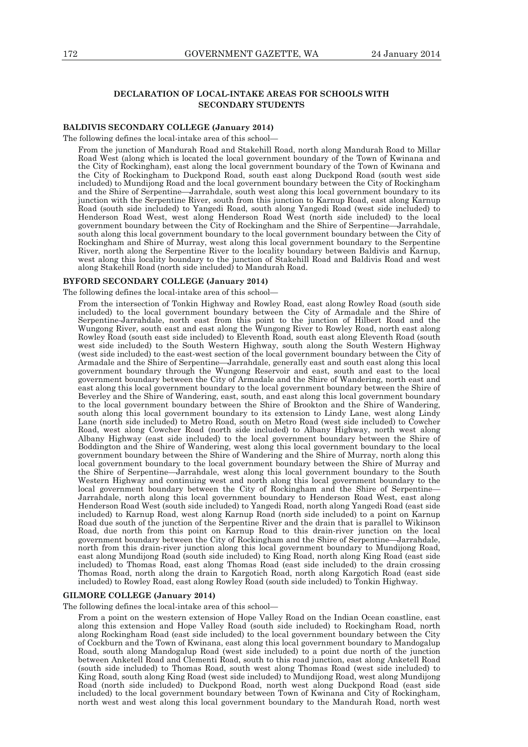# **DECLARATION OF LOCAL-INTAKE AREAS FOR SCHOOLS WITH SECONDARY STUDENTS**

## **BALDIVIS SECONDARY COLLEGE (January 2014)**

The following defines the local-intake area of this school—

From the junction of Mandurah Road and Stakehill Road, north along Mandurah Road to Millar Road West (along which is located the local government boundary of the Town of Kwinana and the City of Rockingham), east along the local government boundary of the Town of Kwinana and the City of Rockingham to Duckpond Road, south east along Duckpond Road (south west side included) to Mundijong Road and the local government boundary between the City of Rockingham and the Shire of Serpentine—Jarrahdale, south west along this local government boundary to its junction with the Serpentine River, south from this junction to Karnup Road, east along Karnup Road (south side included) to Yangedi Road, south along Yangedi Road (west side included) to Henderson Road West, west along Henderson Road West (north side included) to the local government boundary between the City of Rockingham and the Shire of Serpentine—Jarrahdale, south along this local government boundary to the local government boundary between the City of Rockingham and Shire of Murray, west along this local government boundary to the Serpentine River, north along the Serpentine River to the locality boundary between Baldivis and Karnup, west along this locality boundary to the junction of Stakehill Road and Baldivis Road and west along Stakehill Road (north side included) to Mandurah Road.

### **BYFORD SECONDARY COLLEGE (January 2014)**

The following defines the local-intake area of this school—

From the intersection of Tonkin Highway and Rowley Road, east along Rowley Road (south side included) to the local government boundary between the City of Armadale and the Shire of Serpentine-Jarrahdale, north east from this point to the junction of Hilbert Road and the Wungong River, south east and east along the Wungong River to Rowley Road, north east along Rowley Road (south east side included) to Eleventh Road, south east along Eleventh Road (south west side included) to the South Western Highway, south along the South Western Highway (west side included) to the east-west section of the local government boundary between the City of Armadale and the Shire of Serpentine—Jarrahdale, generally east and south east along this local government boundary through the Wungong Reservoir and east, south and east to the local government boundary between the City of Armadale and the Shire of Wandering, north east and east along this local government boundary to the local government boundary between the Shire of Beverley and the Shire of Wandering, east, south, and east along this local government boundary to the local government boundary between the Shire of Brookton and the Shire of Wandering, south along this local government boundary to its extension to Lindy Lane, west along Lindy Lane (north side included) to Metro Road, south on Metro Road (west side included) to Cowcher Road, west along Cowcher Road (north side included) to Albany Highway, north west along Albany Highway (east side included) to the local government boundary between the Shire of Boddington and the Shire of Wandering, west along this local government boundary to the local government boundary between the Shire of Wandering and the Shire of Murray, north along this local government boundary to the local government boundary between the Shire of Murray and the Shire of Serpentine—Jarrahdale, west along this local government boundary to the South Western Highway and continuing west and north along this local government boundary to the local government boundary between the City of Rockingham and the Shire of Serpentine— Jarrahdale, north along this local government boundary to Henderson Road West, east along Henderson Road West (south side included) to Yangedi Road, north along Yangedi Road (east side included) to Karnup Road, west along Karnup Road (north side included) to a point on Karnup Road due south of the junction of the Serpentine River and the drain that is parallel to Wikinson Road, due north from this point on Karnup Road to this drain-river junction on the local government boundary between the City of Rockingham and the Shire of Serpentine—Jarrahdale, north from this drain-river junction along this local government boundary to Mundijong Road, east along Mundijong Road (south side included) to King Road, north along King Road (east side included) to Thomas Road, east along Thomas Road (east side included) to the drain crossing Thomas Road, north along the drain to Kargotich Road, north along Kargotich Road (east side included) to Rowley Road, east along Rowley Road (south side included) to Tonkin Highway.

## **GILMORE COLLEGE (January 2014)**

The following defines the local-intake area of this school—

From a point on the western extension of Hope Valley Road on the Indian Ocean coastline, east along this extension and Hope Valley Road (south side included) to Rockingham Road, north along Rockingham Road (east side included) to the local government boundary between the City of Cockburn and the Town of Kwinana, east along this local government boundary to Mandogalup Road, south along Mandogalup Road (west side included) to a point due north of the junction between Anketell Road and Clementi Road, south to this road junction, east along Anketell Road (south side included) to Thomas Road, south west along Thomas Road (west side included) to King Road, south along King Road (west side included) to Mundijong Road, west along Mundijong Road (north side included) to Duckpond Road, north west along Duckpond Road (east side included) to the local government boundary between Town of Kwinana and City of Rockingham, north west and west along this local government boundary to the Mandurah Road, north west